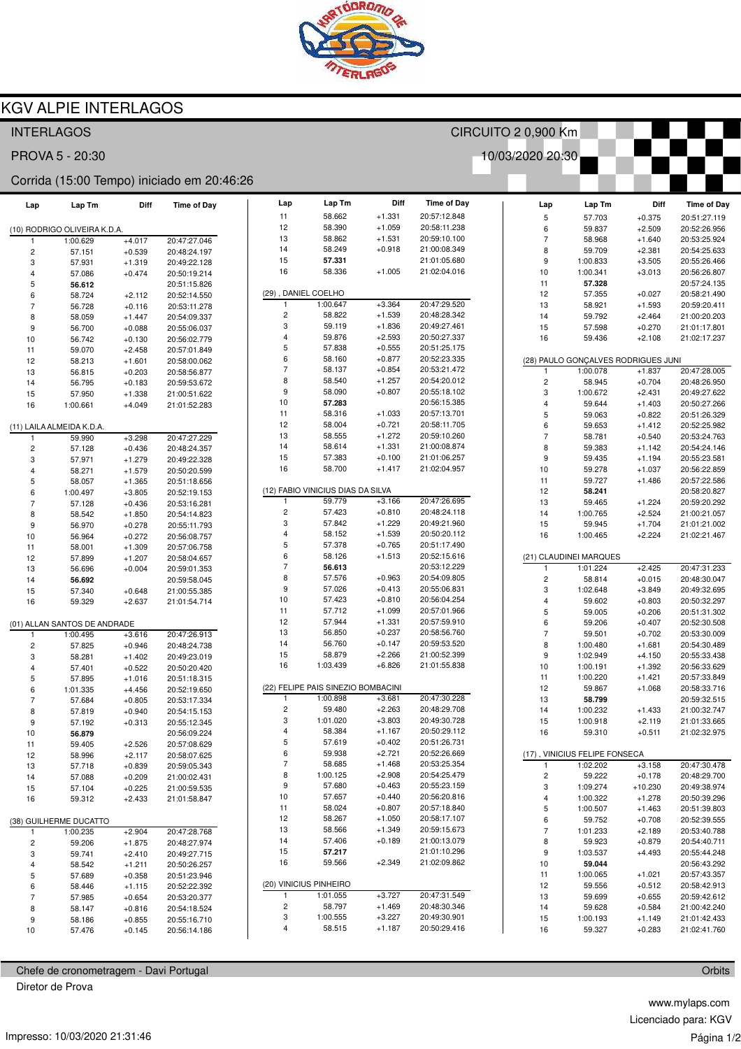

## **KGV ALPIE INTERLAGOS**

| <b>INTERLAGOS</b>                          |                           |          |                    |                         | CIRCUITO 2 0,900 Km                |              |                    |                               |                    |                                     |                              |  |  |
|--------------------------------------------|---------------------------|----------|--------------------|-------------------------|------------------------------------|--------------|--------------------|-------------------------------|--------------------|-------------------------------------|------------------------------|--|--|
| 10/03/2020 20:30<br>PROVA 5 - 20:30        |                           |          |                    |                         |                                    |              |                    |                               |                    |                                     |                              |  |  |
| Corrida (15:00 Tempo) iniciado em 20:46:26 |                           |          |                    |                         |                                    |              |                    |                               |                    |                                     |                              |  |  |
| Lap                                        | Lap Tm                    | Diff     | <b>Time of Day</b> | Lap                     | Lap Tm                             | Diff         | <b>Time of Day</b> | Lap                           | Lap Tm             | Diff                                | <b>Time of Day</b>           |  |  |
|                                            |                           |          |                    | 11                      | 58.662                             | $+1.331$     | 20:57:12.848       | $\mathbf 5$                   | 57.703             | $+0.375$                            | 20:51:27.119                 |  |  |
| (10) RODRIGO OLIVEIRA K.D.A.               |                           |          | 12                 | 58.390                  | $+1.059$                           | 20:58:11.238 | 6                  | 59.837                        | $+2.509$           | 20:52:26.956                        |                              |  |  |
| 1                                          | 1:00.629                  | $+4.017$ | 20:47:27.046       | 13                      | 58.862                             | $+1.531$     | 20:59:10.100       | $\overline{7}$                | 58.968             | $+1.640$                            | 20:53:25.924                 |  |  |
| $\overline{\mathbf{c}}$                    | 57.151                    | $+0.539$ | 20:48:24.197       | 14                      | 58.249                             | $+0.918$     | 21:00:08.349       | 8                             | 59.709             | $+2.381$                            | 20:54:25.633                 |  |  |
| 3                                          | 57.931                    | $+1.319$ | 20:49:22.128       | 15                      | 57.331                             |              | 21:01:05.680       | 9                             | 1:00.833           | $+3.505$                            | 20:55:26.466                 |  |  |
| 4                                          | 57.086                    | $+0.474$ | 20:50:19.214       | 16                      | 58.336                             | $+1.005$     | 21:02:04.016       | 10                            | 1:00.341           | $+3.013$                            | 20:56:26.807                 |  |  |
| 5                                          | 56.612                    |          | 20:51:15.826       |                         |                                    |              |                    | 11                            | 57.328             |                                     | 20:57:24.135                 |  |  |
| 6                                          | 58.724                    | $+2.112$ | 20:52:14.550       | $\mathbf{1}$            | (29), DANIEL COELHO<br>1:00.647    | $+3.364$     | 20:47:29.520       | 12                            | 57.355             | $+0.027$                            | 20:58:21.490                 |  |  |
| $\overline{7}$                             | 56.728                    | $+0.116$ | 20:53:11.278       | $\overline{c}$          | 58.822                             | $+1.539$     | 20:48:28.342       | 13                            | 58.921             | $+1.593$                            | 20:59:20.411                 |  |  |
| 8                                          | 58.059                    | $+1.447$ | 20:54:09.337       | 3                       | 59.119                             | $+1.836$     | 20:49:27.461       | 14                            | 59.792             | $+2.464$                            | 21:00:20.203                 |  |  |
| 9                                          | 56.700                    | $+0.088$ | 20:55:06.037       | $\overline{4}$          | 59.876                             | $+2.593$     | 20:50:27.337       | 15<br>16                      | 57.598             | $+0.270$                            | 21:01:17.801                 |  |  |
| 10                                         | 56.742                    | $+0.130$ | 20:56:02.779       | 5                       | 57.838                             | $+0.555$     | 20:51:25.175       |                               | 59.436             | $+2.108$                            | 21:02:17.237                 |  |  |
| 11                                         | 59.070                    | $+2.458$ | 20:57:01.849       | 6                       | 58.160                             | $+0.877$     | 20:52:23.335       |                               |                    | (28) PAULO GONÇALVES RODRIGUES JUNI |                              |  |  |
| 12                                         | 58.213                    | $+1.601$ | 20:58:00.062       | $\overline{7}$          | 58.137                             | $+0.854$     | 20:53:21.472       | 1                             | 1:00.078           | $+1.837$                            | 20:47:28.005                 |  |  |
| 13                                         | 56.815                    | $+0.203$ | 20:58:56.877       | 8                       | 58.540                             | $+1.257$     | 20:54:20.012       | $\mathsf{2}\,$                | 58.945             | $+0.704$                            | 20:48:26.950                 |  |  |
| 14                                         | 56.795                    | $+0.183$ | 20:59:53.672       | $\boldsymbol{9}$        | 58.090                             | $+0.807$     | 20:55:18.102       | 3                             | 1:00.672           | $+2.431$                            | 20:49:27.622                 |  |  |
| 15                                         | 57.950                    | $+1.338$ | 21:00:51.622       | 10                      | 57.283                             |              | 20:56:15.385       | $\overline{\mathbf{4}}$       | 59.644             | $+1.403$                            | 20:50:27.266                 |  |  |
| 16                                         | 1:00.661                  | $+4.049$ | 21:01:52.283       | 11                      | 58.316                             | $+1.033$     | 20:57:13.701       | 5                             | 59.063             | $+0.822$                            | 20:51:26.329                 |  |  |
|                                            | (11) LAILA ALMEIDA K.D.A. |          |                    | 12                      | 58.004                             | $+0.721$     | 20:58:11.705       | 6                             | 59.653             | $+1.412$                            | 20:52:25.982                 |  |  |
| 1                                          | 59.990                    | $+3.298$ | 20:47:27.229       | 13                      | 58.555                             | $+1.272$     | 20:59:10.260       | $\overline{\mathcal{I}}$      | 58.781             | $+0.540$                            | 20:53:24.763                 |  |  |
| 2                                          | 57.128                    | $+0.436$ | 20:48:24.357       | 14                      | 58.614                             | $+1.331$     | 21:00:08.874       | 8                             | 59.383             | $+1.142$                            | 20:54:24.146                 |  |  |
| 3                                          | 57.971                    | $+1.279$ | 20:49:22.328       | 15                      | 57.383                             | $+0.100$     | 21:01:06.257       | 9                             | 59.435             | $+1.194$                            | 20:55:23.581                 |  |  |
| 4                                          | 58.271                    | $+1.579$ | 20:50:20.599       | 16                      | 58.700                             | $+1.417$     | 21:02:04.957       | 10                            | 59.278             | $+1.037$                            | 20:56:22.859                 |  |  |
| 5                                          | 58.057                    | $+1.365$ | 20:51:18.656       |                         |                                    |              |                    | 11                            | 59.727             | $+1.486$                            | 20:57:22.586                 |  |  |
| 6                                          | 1:00.497                  | $+3.805$ | 20:52:19.153       |                         | (12) FABIO VINICIUS DIAS DA SILVA  |              |                    | 12                            | 58.241             |                                     | 20:58:20.827                 |  |  |
| $\overline{7}$                             | 57.128                    | $+0.436$ | 20:53:16.281       |                         | 59.779                             | $+3.166$     | 20:47:26.695       | 13                            | 59.465             | $+1.224$                            | 20:59:20.292                 |  |  |
| 8                                          | 58.542                    | $+1.850$ | 20:54:14.823       | $\sqrt{2}$              | 57.423                             | $+0.810$     | 20:48:24.118       | 14                            | 1:00.765           | $+2.524$                            | 21:00:21.057                 |  |  |
| 9                                          | 56.970                    | $+0.278$ | 20:55:11.793       | 3                       | 57.842                             | $+1.229$     | 20:49:21.960       | 15                            | 59.945             | $+1.704$                            | 21:01:21.002                 |  |  |
| 10                                         | 56.964                    | $+0.272$ | 20:56:08.757       | $\overline{4}$          | 58.152                             | $+1.539$     | 20:50:20.112       | 16                            | 1:00.465           | $+2.224$                            | 21:02:21.467                 |  |  |
| 11                                         | 58.001                    | $+1.309$ | 20:57:06.758       | $\overline{5}$          | 57.378                             | $+0.765$     | 20:51:17.490       |                               |                    |                                     |                              |  |  |
| 12                                         | 57.899                    | $+1.207$ | 20:58:04.657       | 6                       | 58.126                             | $+1.513$     | 20:52:15.616       | (21) CLAUDINEI MARQUES        |                    |                                     |                              |  |  |
| 13                                         | 56.696                    | $+0.004$ | 20:59:01.353       | $\overline{7}$          | 56.613                             |              | 20:53:12.229       | $\overline{1}$                | 1:01.224           | $+2.425$                            | 20:47:31.233                 |  |  |
| 14                                         | 56.692                    |          | 20:59:58.045       | 8                       | 57.576                             | $+0.963$     | 20:54:09.805       | $\overline{\mathbf{c}}$       | 58.814             | $+0.015$                            | 20:48:30.047                 |  |  |
| 15                                         | 57.340                    | $+0.648$ | 21:00:55.385       | 9                       | 57.026                             | $+0.413$     | 20:55:06.831       | 3                             | 1:02.648           | $+3.849$                            | 20:49:32.695                 |  |  |
| 16                                         | 59.329                    | $+2.637$ | 21:01:54.714       | 10                      | 57.423                             | $+0.810$     | 20:56:04.254       | 4                             | 59.602             | $+0.803$                            | 20:50:32.297                 |  |  |
|                                            |                           |          |                    | 11                      | 57.712                             | $+1.099$     | 20:57:01.966       | 5                             | 59.005             | $+0.206$                            | 20:51:31.302                 |  |  |
| (01) ALLAN SANTOS DE ANDRADE               |                           | 12       | 57.944             | $+1.331$                | 20:57:59.910                       | 6            | 59.206             | $+0.407$                      | 20:52:30.508       |                                     |                              |  |  |
|                                            | 1:00.495                  | $+3.616$ | 20:47:26.913       | 13                      | 56.850                             | $+0.237$     | 20:58:56.760       | $\overline{7}$                | 59.501             | $+0.702$                            | 20:53:30.009                 |  |  |
| $\overline{\mathbf{c}}$                    | 57.825                    | $+0.946$ | 20:48:24.738       | 14                      | 56.760                             | $+0.147$     | 20:59:53.520       | 8                             | 1:00.480           | $+1.681$                            | 20:54:30.489                 |  |  |
| 3                                          | 58.281                    | $+1.402$ | 20:49:23.019       | 15                      | 58.879                             | $+2.266$     | 21:00:52.399       | 9                             | 1:02.949           | $+4.150$                            | 20:55:33.438                 |  |  |
| 4                                          | 57.401                    | $+0.522$ | 20:50:20.420       | 16                      | 1:03.439                           | $+6.826$     | 21:01:55.838       | 10                            | 1:00.191           | $+1.392$                            | 20:56:33.629                 |  |  |
| 5                                          | 57.895                    | $+1.016$ | 20:51:18.315       |                         |                                    |              |                    | 11                            | 1:00.220           | $+1.421$                            | 20:57:33.849                 |  |  |
| 6                                          | 1:01.335                  | $+4.456$ | 20:52:19.650       |                         | (22) FELIPE PAIS SINEZIO BOMBACINI |              |                    | 12                            | 59.867             | $+1.068$                            | 20:58:33.716                 |  |  |
| $\overline{7}$                             | 57.684                    | $+0.805$ | 20:53:17.334       | $\mathbf{1}$            | 1:00.898                           | $+3.681$     | 20:47:30.228       | 13                            | 58.799             |                                     | 20:59:32.515                 |  |  |
| 8                                          | 57.819                    | $+0.940$ | 20:54:15.153       | $\overline{c}$          | 59.480                             | $+2.263$     | 20:48:29.708       | 14                            | 1:00.232           | $+1.433$                            | 21:00:32.747                 |  |  |
| 9                                          | 57.192                    | $+0.313$ | 20:55:12.345       | 3                       | 1:01.020                           | $+3.803$     | 20:49:30.728       | 15                            | 1:00.918           | $+2.119$                            | 21:01:33.665                 |  |  |
| 10                                         | 56.879                    |          | 20:56:09.224       | 4                       | 58.384                             | $+1.167$     | 20:50:29.112       | 16                            | 59.310             | $+0.511$                            | 21:02:32.975                 |  |  |
| 11                                         | 59.405                    | $+2.526$ | 20:57:08.629       | 5                       | 57.619                             | $+0.402$     | 20:51:26.731       |                               |                    |                                     |                              |  |  |
| 12                                         | 58.996                    | $+2.117$ | 20:58:07.625       | 6                       | 59.938                             | $+2.721$     | 20:52:26.669       | (17), VINICIUS FELIPE FONSECA |                    |                                     |                              |  |  |
| 13                                         | 57.718                    | $+0.839$ | 20:59:05.343       | 7                       | 58.685                             | $+1.468$     | 20:53:25.354       | $\mathbf{1}$                  | 1:02.202           | $+3.158$                            | 20:47:30.478                 |  |  |
| 14                                         | 57.088                    | $+0.209$ | 21:00:02.431       | 8                       | 1:00.125                           | $+2.908$     | 20:54:25.479       | $\overline{\mathbf{c}}$       | 59.222             | $+0.178$                            | 20:48:29.700                 |  |  |
| 15                                         | 57.104                    | $+0.225$ | 21:00:59.535       | 9                       | 57.680                             | $+0.463$     | 20:55:23.159       | 3                             | 1:09.274           | $+10.230$                           | 20:49:38.974                 |  |  |
| 16                                         | 59.312                    | $+2.433$ | 21:01:58.847       | 10                      | 57.657                             | $+0.440$     | 20:56:20.816       | 4                             | 1:00.322           | $+1.278$                            | 20:50:39.296                 |  |  |
|                                            |                           |          |                    | 11                      | 58.024                             | $+0.807$     | 20:57:18.840       | 5                             | 1:00.507           | $+1.463$                            | 20:51:39.803                 |  |  |
|                                            | (38) GUILHERME DUCATTO    |          |                    | 12                      | 58.267                             | $+1.050$     | 20:58:17.107       | 6                             | 59.752             | $+0.708$                            | 20:52:39.555                 |  |  |
| $\mathbf{1}$                               | 1:00.235                  | $+2.904$ | 20:47:28.768       | 13                      | 58.566                             | $+1.349$     | 20:59:15.673       | $\boldsymbol{7}$              | 1:01.233           | $+2.189$                            | 20:53:40.788                 |  |  |
| 2                                          | 59.206                    | $+1.875$ | 20:48:27.974       | 14                      | 57.406                             | $+0.189$     | 21:00:13.079       | 8                             | 59.923             | $+0.879$                            | 20:54:40.711                 |  |  |
| 3                                          | 59.741                    | $+2.410$ | 20:49:27.715       | 15                      | 57.217                             |              | 21:01:10.296       | 9                             | 1:03.537           | $+4.493$                            | 20:55:44.248                 |  |  |
| 4                                          | 58.542                    | $+1.211$ | 20:50:26.257       | 16                      | 59.566                             | $+2.349$     | 21:02:09.862       | 10                            | 59.044             |                                     | 20:56:43.292                 |  |  |
| 5                                          | 57.689                    | $+0.358$ | 20:51:23.946       |                         | (20) VINICIUS PINHEIRO             |              |                    | 11                            | 1:00.065           | $+1.021$                            | 20:57:43.357                 |  |  |
| 6                                          | 58.446                    | $+1.115$ | 20:52:22.392       | -1                      | 1:01.055                           | $+3.727$     | 20:47:31.549       | 12                            | 59.556             | $+0.512$                            | 20:58:42.913                 |  |  |
| $\overline{7}$                             | 57.985                    | $+0.654$ | 20:53:20.377       | $\overline{\mathbf{c}}$ | 58.797                             | $+1.469$     | 20:48:30.346       | 13                            | 59.699             | $+0.655$                            | 20:59:42.612                 |  |  |
| 8                                          | 58.147                    | $+0.816$ | 20:54:18.524       | 3                       | 1:00.555                           | $+3.227$     | 20:49:30.901       | 14                            | 59.628             | $+0.584$                            | 21:00:42.240<br>21:01:42.433 |  |  |
| 9                                          | 58.186                    | $+0.855$ | 20:55:16.710       | 4                       | 58.515                             | $+1.187$     | 20:50:29.416       | 15<br>16                      | 1:00.193<br>59.327 | $+1.149$<br>$+0.283$                | 21:02:41.760                 |  |  |
| 10                                         | 57.476                    | $+0.145$ | 20:56:14.186       |                         |                                    |              |                    |                               |                    |                                     |                              |  |  |

Chefe de cronometragem - Davi Portugal Diretor de Prova

www.mylaps.com Licenciado para: KGV Página 1/2

Orbits